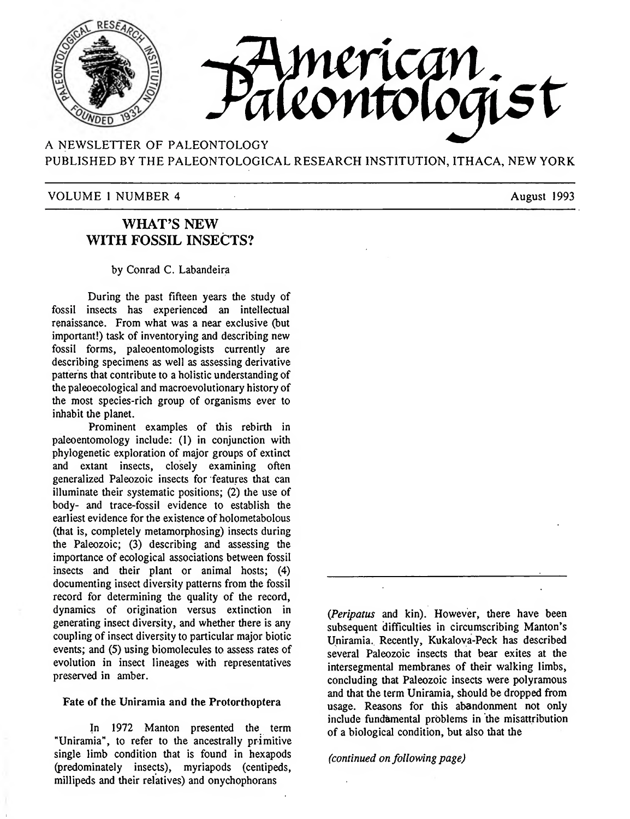

A NEWSLETTER OF PALEONTOLOGY PUBLISHED BY THE PALEONTOLOGICAL RESEARCH INSTITUTION, ITHACA, NEW YORK

### VOLUME 1 NUMBER 4 August 1993

# **WHAT^S NEW WITH FOSSIL INSECTS?**

#### by Conrad C. Labandeira

During the past fifteen years the study of fossil insects has experienced an intellectual renaissance. From what was a near exclusive (but important!) task of inventorying and describing new fossil forms, paleoentomologists currently are describing specimens as well as assessing derivative patterns that contribute to a holistic understanding of the paleoecological and macroevolutionary history of the most species-rich group of organisms ever to inhabit the planet.

Prominent examples of this rebirth in paleoentomology include: (1) in conjunction with phylogenetic exploration of major groups of extinct and extant insects, closely examining often generalized Paleozoic insects for features that can illuminate their systematic positions; (2) the use of body- and trace-fossil evidence to establish the earliest evidence for the existence of holometabolous (that is, completely metamorphosing) insects during the Paleozoic; (3) describing and assessing the importance of ecological associations between fossil insects and their plant or animal hosts; (4) documenting insect diversity patterns from the fossil record for determining the quality of the record, dynamics of origination versus extinction in generating insect diversity, and whether there is any coupling of insect diversity to particular major biotic events; and (5) using biomolecules to assess rates of evolution in insect lineages with representatives preserved in amber.

#### Fate of **the** Uniramia and **the** Protorthoptera

In 1972 Mantón presented the term "Uniramia", to refer to the ancestrally primitive single limb condition that is found in hexapods (predominately insects), myriapods (centipeds, millipeds and their relatives) and onychophorans

*(Peripatus* and kin). However, there have been subsequent difficulties in circumscribing Manton's Uniramia. Recently, Kukalova-Peck has described several Paleozoic insects that bear exites at the intersegmental membranes of their walking limbs, concluding that Paleozoic insects were polyramous and that the term Uniramia, should be dropped from usage. Reasons for this abandonment not only include fundamental problems in the misattribution of a biological condition, but also that the

#### *(continued on following page)*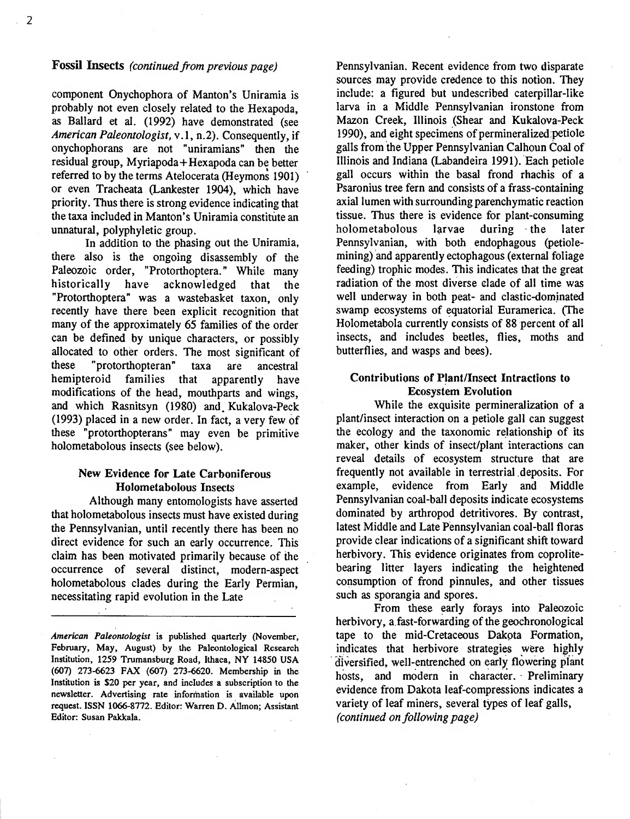### **Fossil Insects** *(continued from previous page)*

component Onychophora of Manton's Uniramia is probably not even closely related to the Hexapoda, as Ballard et al. (1992) have demonstrated (see *American Paleontologist,* v.l, n.2). Consequently, if onychophorans are not "uniramians" then the residual group, Myriapoda+Hexapoda can be better referred to by the terms Atelocerata (Heymons 1901) or even Tracheata (Lankester 1904), which have priority. Thus there is strong evidence indicating that the taxa included in Manton's Uniramia constitute an unnatural, polyphyletic group.

In addition to the phasing out the Uniramia, there also is the ongoing disassembly of the Paleozoic order, "Protorthoptera." While many historically have acknowledged that the "Protorthoptera" was a wastebasket taxon, only recently have there been explicit recognition that many of the approximately 65 families of the order can be defined by unique characters, or possibly allocated to other orders. The most significant of these "protorthopteran" taxa are ancestral hemipteroid families that apparently have modifications of the head, mouthparts and wings, and which Rasnitsyn (1980) and. Kukalova-Peck (1993) placed in a new order. In fact, a very few of these "protorthopterans" may even be primitive holometabolous insects (see below).

## **New Evidence for Late Carboniferous Holometabolous Insects**

Although many entomologists have asserted that holometabolous insects must have existed during the Pennsylvanian, until recently there has been no direct evidence for such an early occurrence. This claim has been motivated primarily because of the occurrence of several distinct, modern-aspect holometabolous clades during the Early Permian, necessitating rapid evolution in the Late

Pennsylvanian. Recent evidence from two disparate sources may provide credence to this notion. They include: a figured but undescribed caterpillar-like larva in a Middle Permsylvanian ironstone from Mazon Creek, Illinois (Shear and Kukalova-Peck 1990), and eight specimens of permineralized petiole galls from the Upper Permsylvanian Calhoun Coal of Illinois and Indiana (Labandeira 1991). Each petiole gall occurs within the basal frond rhachis of a Psaronius tree fern and consists of a frass-containing axial lumen with surrounding parenchymatic reaction tissue. Thus there is evidence for plant-consuming holometabolous larvae during the later Pennsylvanian, with both endophagous (petiolemining) and apparently ectophagous (external foliage feeding) trophic modes. This indicates that the great radiation of the most diverse elade of all time was well underway in both peat- and clastic-dominated swamp ecosystems of equatorial Euramerica. (The Holometabola currently consists of 88 percent of all insects, and includes beetles, flies, moths and butterflies, and wasps and bees).

### **Contributions of Plant/Insect Intractions to Ecosystem Evolution**

While the exquisite permineralization of a plant/insect interaction on a petiole gall can suggest the ecology and the taxonomic relationship of its maker, other kinds of insect/plant interactions can reveal details of ecosystem structure that are frequently not available in terrestrial deposits. For example, evidence from Early and Middle Pennsylvanian coal-ball deposits indicate ecosystems dominated by arthropod detritivores. By contrast, latest Middle and Late Pennsylvanian coal-ball floras provide clear indications of a significant shift toward herbivory. This evidence originates from coprolitebearing litter layers indicating the heightened consumption of frond pinnules, and other tissues such as sporangia and spores.

From these early forays into Paleozoic herbivory, a fast-forwarding of the geochronological tape to the mid-Cretaceous Dakota Formation, indicates that herbivore strategies were highly diversified, well-entrenched on early flowering plant hosts, and modem in character. Preliminary evidence from Dakota leaf-compressions indicates a variety of leaf miners, several types of leaf galls, *(continued on fi>llowing page)*

*American Paleontologist* is published quarterly (November, February, May, August) by the Paleontological Research Institution, 1259 Trumansburg Road, Ithaca, NY 14850 USA (607) 273-6623 FAX (607) 273-6620. Membership in the Institution is \$20 per year, and includes a subscription to the newsletter. Advertising rate information is available upon request. ISSN 1066-8772. Editor: Warren D. AUmon; Assistant Editor: Susan Pakkala.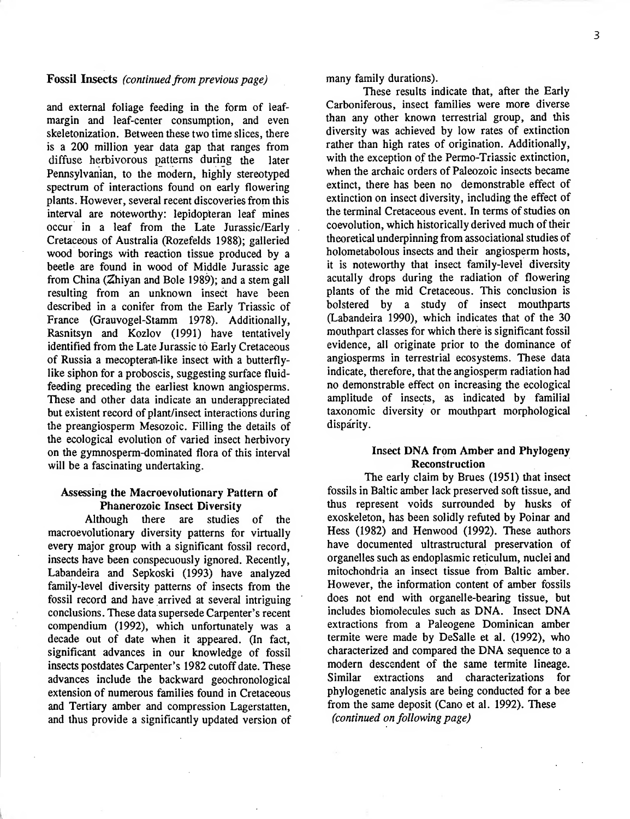### **Fossil Insects** (*continued from previous page*)

and external foliage feeding in the form of leafmargin and leaf-center consumption, and even skeletonization. Between these two time slices, there is a 200 million year data gap that ranges from diffuse herbivorous patterns during the later Pennsylvanian, to the modern, highly stereotyped spectrum of interactions found on early flowering plants. However, several recent discoveries from this interval are noteworthy: lepidopteran leaf mines occur in a leaf from the Late Jurassic/Early Cretaceous of Australia (Rozefelds 1988); galleried wood borings with reaction tissue produced by a beetle are found in wood of Middle Jurassic age from China (2hiyan and Bole 1989); and a stem gall resulting from an unknown insect have been described in a conifer from the Early Triassic of France (Grauvogel-Stamm 1978). Additionally, Rasnitsyn and Kozlov (1991) have tentatively identified from the Late Jurassic to Early Cretaceous of Russia a mecopteran-like insect with a butterflylike siphon for a proboscis, suggesting surface fluidfeeding preceding the earliest known angiosperms. These and other data indicate an underappreciated but existent record of plant/insect interactions during the preangiosperm Mesozoic. Filling the details of the ecological evolution of varied insect herbivory on the gymnosperm-dominated flora of this interval will be a fascinating undertaking.

### Assessing **the** Macroevolutionary Pattern **of Phanerozoic** Insect Diversity

Although there are studies of the macroevolutionary diversity patterns for virtually every major group with a significant fossil record, insects have been conspecuously ignored. Recently, Labandeira and Sepkoski (1993) have analyzed family-level diversity patterns of insects from the fossil record and have arrived at several intriguing conclusions. These data supersede Carpenter's recent compendium (1992), which unfortunately was a decade out of date when it appeared. (In fact, significant advances in our knowledge of fossil insects postdates Carpenter's 1982 cutoff date. These advances include the backward geochronological extension of numerous families found in Cretaceous and Tertiary amber and compression Lagerstatten, and thus provide a significantly updated version of

many family durations).

These results indicate that, after the Early Carboniferous, insect families were more diverse than any other known terrestrial group, and this diversity was achieved by low rates of extinction rather than high rates of origination. Additionally, with the exception of the Permo-Triassic extinction, when the archaic orders of Paleozoic insects became extinct, there has been no demonstrable effect of extinction on insect diversity, including the effect of the terminal Cretaceous event. In terms of studies on coevolution, which historically derived much of their theoretical underpinning from associational studies of holometabolous insects and their angiosperm hosts, it is noteworthy that insect family-level diversity acutally drops during the radiation of flowering plants of the mid Cretaceous. This conclusion is bolstered by a study of insect mouthparts (Labandeira 1990), which indicates that of the 30 mouthpart classes for which there is significant fossil evidence, all originate prior to the dominance of angiosperms in terrestrial ecosystems. These data indicate, therefore, that the angiosperm radiation had no demonstrable effect on increasing the ecological amplitude of insects, as indicated by familial taxonomic diversity or mouthpart morphological disparity.

### **Insect DNA from Amber and Phylogeny Reconstruction**

The early claim by Brues (1951) that insect fossils in Baltic amber lack preserved soft tissue, and thus represent voids surrounded by husks of exoskeleton, has been solidly refiited by Poinar and Hess (1982) and Henwood (1992). These authors have documented ultrastructural preservation of organelles such as endoplasmic reticulum, nuclei and mitochondria an insect tissue from Baltic amber. However, the information content of amber fossils does not end with organelle-bearing tissue, but includes biomolecules such as DNA. Insect DNA extractions from a Paleogene Dominican amber termite were made by DeSalle et al. (1992), who characterized and compared the DNA sequence to a modern descendent of the same termite lineage. Similar extractions and characterizations for phylogenetic analysis are being conducted for a bee from the same deposit (Cano et al. 1992). These *(continued on fi)llowing page)*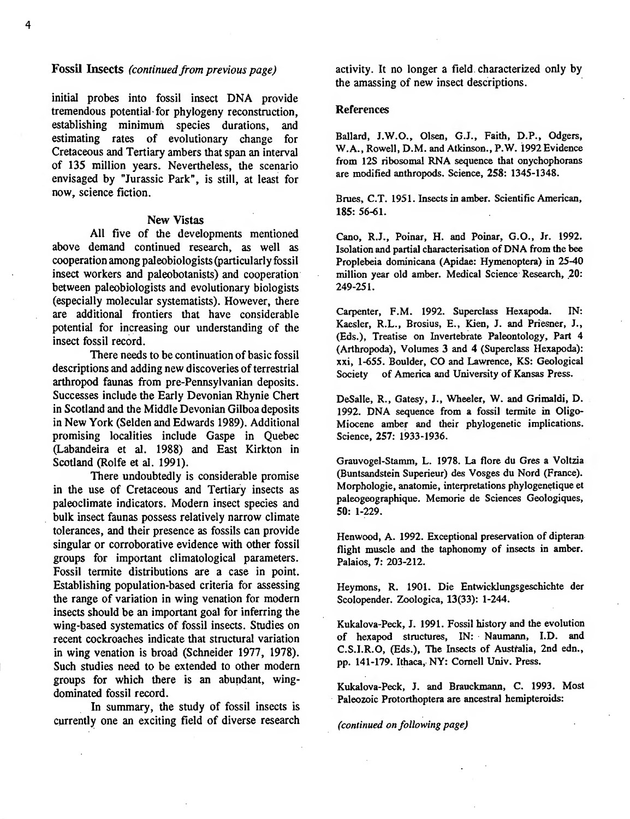### **Fossil Insects** *(continued from previous page)*

initial probes into fossil insect DNA provide tremendous potential for phylogeny reconstruction, establishing minimum species durations, and estimating rates of evolutionary change for Cretaceous and Tertiary ambers that span an interval of 135 million years. Nevertheless, the scenario envisaged by "Jurassic Park", is still, at least for now, science fiction.

#### New Vistas

All five of the developments mentioned above demand continued research, as well as cooperation among paleobiologists(particularly fossil insect workers and paleobotanists) and cooperation between paleobiologists and evolutionary biologists (especially molecular systematists). However, there are additional frontiers that have considerable potential for increasing our understanding of the insect fossil record.

There needs to be continuation of basic fossil descriptions and adding new discoveries of terrestrial arthropod faunas from pre-Pennsylvanian deposits. Successes include the Early Devonian Rhynie Chert in Scotland and the Middle Devonian Gilboa deposits in New York (Seiden and Edwards 1989). Additional promising localities include Gaspe in Quebec (Labandeira et al. 1988) and East Kirkton in Scotland (Rolfe et al. 1991).

There undoubtedly is considerable promise in the use of Cretaceous and Tertiary insects as paleoclimate indicators. Modern insect species and bulk insect faunas possess relatively narrow climate tolerances, and their presence as fossils can provide singular or corroborative evidence with other fossil groups for important climatological parameters. Fossil termite distributions are a case in point. Establishing population-based criteria for assessing the range of variation in wing venation for modern insects should be an important goal for inferring the wing-based systematics of fossil insects. Studies on recent cockroaches indicate that structural variation in wing venation is broad (Schneider 1977, 1978). Such studies need to be extended to other modem groups for which there is an abundant, wingdominated fossil record.

In summary, the study of fossil insects is currently one an exciting field of diverse research

activity. It no longer a field characterized only by the amassing of new insect descriptions.

#### References

Ballard, J.W.O., Olsen, G.J., Faith, D.P., Odgers, W.A., Rowell, D.M. and Atkinson., P.W. 1992 Evidence from 12S ribosomal RNA sequence that onychophorans are modifíed anthropods. Science, **258:** 1345-1348.

Brues, C.T. 1951. Insects in amber. Scientific American, 185: 56-61.

Cano, R.J., Poinar, H. and Poinar, G.O., Jr. 1992. Isolation and partial characterisation of DNA from the bee Proplebeia dominicana (Apidae: Hymenoptera) in 25-40 million year old amber. Medical Science Research, 20: 249-251.

Carpenter, F.M. 1992. Superclass Hexapoda. IN: Kaesler, R.L., Brosius, E., Kien, J. and Priesner, J., (Eds.), Treatise on Invertebrate Paleontology, Part 4 (Arthropoda), Volumes 3 and 4 (Superclass Hexapoda): xxi, 1-655. Boulder, CO and Lawrence, KS: Geological Society of America and University of Kansas Press.

DeSalle, R., Gatesy, J., Wheeler, W. and Grimaldi, D. 1992. DNA sequence from a fossil termite in Oligo-Miocene amber and their phylogenetic implications. Science, 257: 1933-1936.

Grauvogel-Slamm, L. 1978. La flore du Gres a Voltzia (Buntsandstein Superieur) des Vosges du Nord (France). Morphologie, anatomie, interpretations phylogenetique et paleogeographique. Memorie de Sciences Géologiques, 50: 1-229.

Henwood, A. 1992. Exceptional preservation of dipteran flight muscle and the taphonomy of insects in amber. Palaios, 7: 203-212.

Heymons, R. 1901. Die Entwicklungsgeschichte der Scolopender. Zoológica, 13(33): 1-244.

Kukalova-Peck, J. 1991. Fossil history and the evolution of hexapod structures, IN: Naumann, I.D. and C.S.I.R.O, (Eds.), The Insects of Australia, 2nd edn., pp. 141-179. Ithaca, NY: Cornell Univ. Press.

Kukalova-Peck, J. and Brauckmann, C. 1993. Most Paleozoic Protorthoptera are ancestral hemipteroids:

*(continued on following page)*